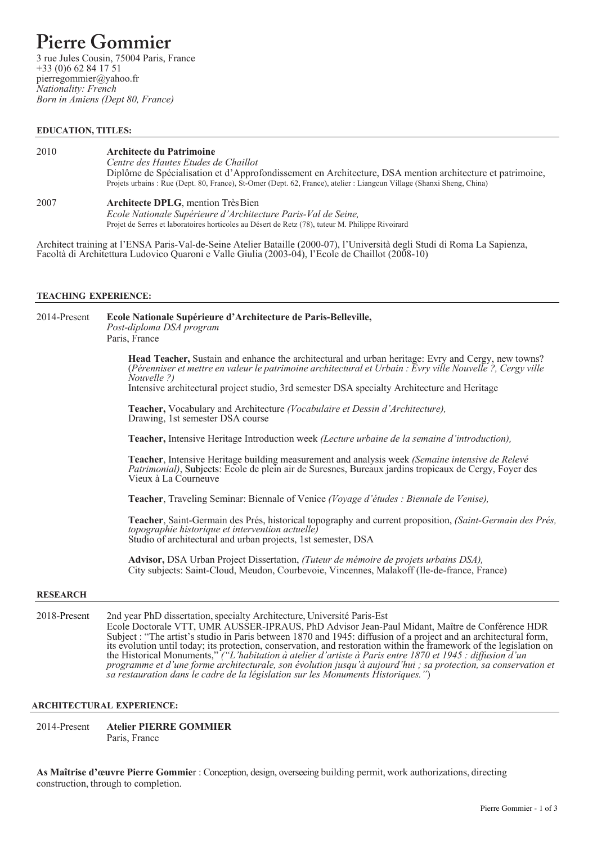# **Pierre Gommier**

 3 rue Jules Cousin, 75004 Paris, France +33 (0)6 62 84 17 51 pierregommier@yahoo.fr *Nationality: French Born in Amiens (Dept 80, France)*

## **EDUCATION, TITLES:**

## 2010 **Architecte du Patrimoine**

*Centre des Hautes Etudes de Chaillot* Diplôme de Spécialisation et d'Approfondissement en Architecture, DSA mention architecture et patrimoine, Projets urbains : Rue (Dept. 80, France), St-Omer (Dept. 62, France), atelier : Liangcun Village (Shanxi Sheng, China)

# 2007 **Architecte DPLG**, mention Très Bien

*Ecole Nationale Supérieure d'Architecture Paris-Val de Seine,* Projet de Serres et laboratoires horticoles au Désert de Retz (78), tuteur M. Philippe Rivoirard

Architect training at l'ENSA Paris-Val-de-Seine Atelier Bataille (2000-07), l'Università degli Studi di Roma La Sapienza, Facoltà di Architettura Ludovico Quaroni e Valle Giulia (2003-04), l'Ecole de Chaillot (2008-10)

### **TEACHING EXPERIENCE:**

2014-Present **Ecole Nationale Supérieure d'Architecture de Paris-Belleville,** *Post-diploma DSA program* Paris, France **Head Teacher,** Sustain and enhance the architectural and urban heritage: Evry and Cergy, new towns? (*Pérenniser et mettre en valeur le patrimoine architectural et Urbain : Evry ville Nouvelle ?, Cergy ville Nouvelle ?)* Intensive architectural project studio, 3rd semester DSA specialty Architecture and Heritage **Teacher,** Vocabulary and Architecture *(Vocabulaire et Dessin d'Architecture),* Drawing, 1st semester DSA course **Teacher,** Intensive Heritage Introduction week *(Lecture urbaine de la semaine d'introduction),*  **Teacher**, Intensive Heritage building measurement and analysis week *(Semaine intensive de Relevé Patrimonial)*, Subjects: Ecole de plein air de Suresnes, Bureaux jardins tropicaux de Cergy, Foyer des Vieux à La Courneuve **Teacher**, Traveling Seminar: Biennale of Venice *(Voyage d'études : Biennale de Venise),* **Teacher**, Saint-Germain des Prés, historical topography and current proposition, *(Saint-Germain des Prés, topographie historique et intervention actuelle)* Studio of architectural and urban projects, 1st semester, DSA **Advisor,** DSA Urban Project Dissertation, *(Tuteur de mémoire de projets urbains DSA),* City subjects: Saint-Cloud, Meudon, Courbevoie, Vincennes, Malakoff (Ile-de-france, France) **RESEARCH** 2018-Present 2nd year PhD dissertation,specialty Architecture, Université Paris-Est

Ecole Doctorale VTT, UMR AUSSER-IPRAUS, PhD Advisor Jean-Paul Midant, Maître de Conférence HDR Subject : "The artist's studio in Paris between 1870 and 1945: diffusion of a project and an architectural form, its evolution until today; its protection, conservation, and restoration within the framework of the legislation on the Historical Monuments," *("L'habitation à atelier d'artiste à Paris entre 1870 et 1945 : diffusion d'un programme et d'une forme architecturale, son évolution jusqu'à aujourd'hui ; sa protection, sa conservation et sa restauration dans le cadre de la législation sur les Monuments Historiques."*)

# **ARCHITECTURAL EXPERIENCE:**

2014-Present **Atelier PIERRE GOMMIER** Paris, France

**As Maîtrise d'œuvre Pierre Gommie**r : Conception, design, overseeing building permit, work authorizations, directing construction, through to completion.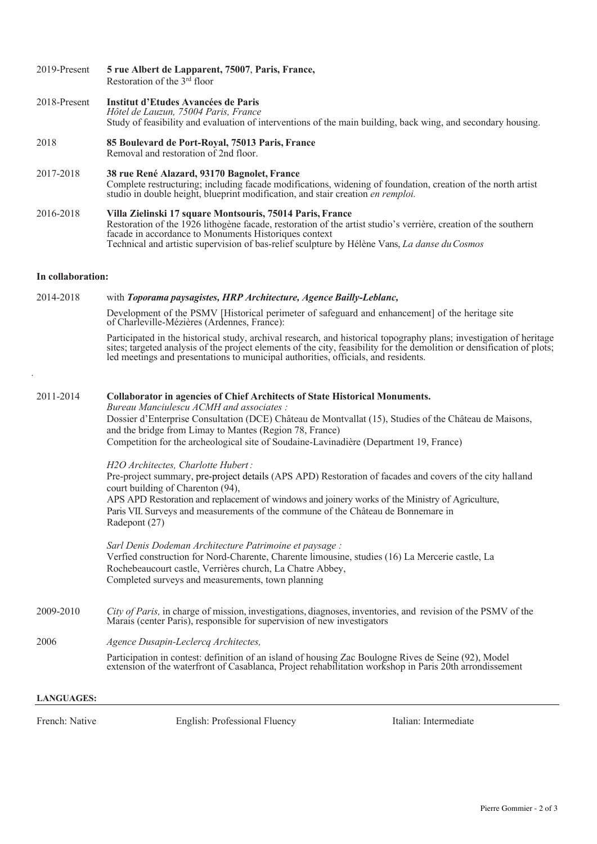| 2019-Present      | 5 rue Albert de Lapparent, 75007, Paris, France,<br>Restoration of the 3 <sup>rd</sup> floor                                                                                                                                                                                                                                                                                                  |
|-------------------|-----------------------------------------------------------------------------------------------------------------------------------------------------------------------------------------------------------------------------------------------------------------------------------------------------------------------------------------------------------------------------------------------|
| 2018-Present      | Institut d'Etudes Avancées de Paris<br>Hôtel de Lauzun, 75004 Paris, France<br>Study of feasibility and evaluation of interventions of the main building, back wing, and secondary housing.                                                                                                                                                                                                   |
| 2018              | 85 Boulevard de Port-Royal, 75013 Paris, France<br>Removal and restoration of 2nd floor.                                                                                                                                                                                                                                                                                                      |
| 2017-2018         | 38 rue René Alazard, 93170 Bagnolet, France<br>Complete restructuring; including facade modifications, widening of foundation, creation of the north artist<br>studio in double height, blueprint modification, and stair creation en remploi.                                                                                                                                                |
| 2016-2018         | Villa Zielinski 17 square Montsouris, 75014 Paris, France<br>Restoration of the 1926 lithogène facade, restoration of the artist studio's verrière, creation of the southern<br>facade in accordance to Monuments Historiques context<br>Technical and artistic supervision of bas-relief sculpture by Hélène Vans, La danse du Cosmos                                                        |
| In collaboration: |                                                                                                                                                                                                                                                                                                                                                                                               |
| 2014-2018         | with Toporama paysagistes, HRP Architecture, Agence Bailly-Leblanc,                                                                                                                                                                                                                                                                                                                           |
|                   | Development of the PSMV [Historical perimeter of safeguard and enhancement] of the heritage site<br>of Charleville-Mézières (Ardennes, France):                                                                                                                                                                                                                                               |
|                   | Participated in the historical study, archival research, and historical topography plans; investigation of heritage<br>sites; targeted analysis of the project elements of the city, feasibility for the demolition or densification of plots;<br>led meetings and presentations to municipal authorities, officials, and residents.                                                          |
| 2011-2014         | <b>Collaborator in agencies of Chief Architects of State Historical Monuments.</b><br>Bureau Manciulescu ACMH and associates:<br>Dossier d'Enterprise Consultation (DCE) Château de Montvallat (15), Studies of the Château de Maisons,<br>and the bridge from Limay to Mantes (Region 78, France)<br>Competition for the archeological site of Soudaine-Lavinadière (Department 19, France)  |
|                   | H2O Architectes, Charlotte Hubert:<br>Pre-project summary, pre-project details (APS APD) Restoration of facades and covers of the city halland<br>court building of Charenton (94),<br>APS APD Restoration and replacement of windows and joinery works of the Ministry of Agriculture,<br>Paris VII. Surveys and measurements of the commune of the Château de Bonnemare in<br>Radepont (27) |
|                   | Sarl Denis Dodeman Architecture Patrimoine et paysage :<br>Verfied construction for Nord-Charente, Charente limousine, studies (16) La Mercerie castle, La<br>Rochebeaucourt castle, Verrières church, La Chatre Abbey,<br>Completed surveys and measurements, town planning                                                                                                                  |
| 2009-2010         | City of Paris, in charge of mission, investigations, diagnoses, inventories, and revision of the PSMV of the<br>Marais (center Paris), responsible for supervision of new investigators                                                                                                                                                                                                       |
| 2006              | Agence Dusapin-Leclercq Architectes,                                                                                                                                                                                                                                                                                                                                                          |
|                   | Participation in contest: definition of an island of housing Zac Boulogne Rives de Seine (92), Model<br>extension of the waterfront of Casablanca, Project rehabilitation workshop in Paris 20th arrondissement                                                                                                                                                                               |
| <b>LANGUAGES:</b> |                                                                                                                                                                                                                                                                                                                                                                                               |

French: Native English: Professional Fluency Italian: Intermediate